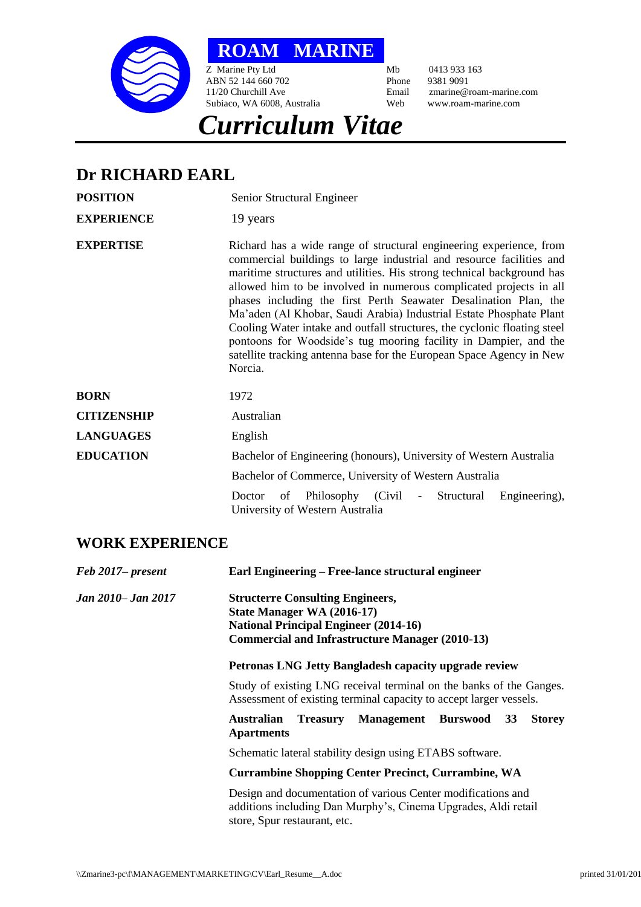

**ROAM MARINE**

*Curriculum Vitae*

Z Marine Pty Ltd Mb 0413 933 163 ABN 52 144 660 702 Phone 9381 9091 Subiaco, WA 6008, Australia

11/20 Churchill Ave Email zmarine@roam-marine.com

## **Dr RICHARD EARL**

| <b>POSITION</b>    | Senior Structural Engineer                                                                                                                                                                                                                                                                                                                                                                                                                                                                                                                                                                                                                                                |
|--------------------|---------------------------------------------------------------------------------------------------------------------------------------------------------------------------------------------------------------------------------------------------------------------------------------------------------------------------------------------------------------------------------------------------------------------------------------------------------------------------------------------------------------------------------------------------------------------------------------------------------------------------------------------------------------------------|
| <b>EXPERIENCE</b>  | 19 years                                                                                                                                                                                                                                                                                                                                                                                                                                                                                                                                                                                                                                                                  |
| <b>EXPERTISE</b>   | Richard has a wide range of structural engineering experience, from<br>commercial buildings to large industrial and resource facilities and<br>maritime structures and utilities. His strong technical background has<br>allowed him to be involved in numerous complicated projects in all<br>phases including the first Perth Seawater Desalination Plan, the<br>Ma'aden (Al Khobar, Saudi Arabia) Industrial Estate Phosphate Plant<br>Cooling Water intake and outfall structures, the cyclonic floating steel<br>pontoons for Woodside's tug mooring facility in Dampier, and the<br>satellite tracking antenna base for the European Space Agency in New<br>Norcia. |
| <b>BORN</b>        | 1972                                                                                                                                                                                                                                                                                                                                                                                                                                                                                                                                                                                                                                                                      |
| <b>CITIZENSHIP</b> | Australian                                                                                                                                                                                                                                                                                                                                                                                                                                                                                                                                                                                                                                                                |
| <b>LANGUAGES</b>   | English                                                                                                                                                                                                                                                                                                                                                                                                                                                                                                                                                                                                                                                                   |
| <b>EDUCATION</b>   | Bachelor of Engineering (honours), University of Western Australia                                                                                                                                                                                                                                                                                                                                                                                                                                                                                                                                                                                                        |
|                    | Bachelor of Commerce, University of Western Australia                                                                                                                                                                                                                                                                                                                                                                                                                                                                                                                                                                                                                     |
|                    | Structural<br>Philosophy (Civil -<br>Engineering),<br>of<br>Doctor<br>University of Western Australia                                                                                                                                                                                                                                                                                                                                                                                                                                                                                                                                                                     |

## **WORK EXPERIENCE**

| Feb 2017– present  | Earl Engineering – Free-lance structural engineer                                                                                                                               |
|--------------------|---------------------------------------------------------------------------------------------------------------------------------------------------------------------------------|
| Jan 2010– Jan 2017 | <b>Structerre Consulting Engineers,</b><br>State Manager WA (2016-17)<br><b>National Principal Engineer (2014-16)</b><br><b>Commercial and Infrastructure Manager (2010-13)</b> |
|                    | <b>Petronas LNG Jetty Bangladesh capacity upgrade review</b>                                                                                                                    |
|                    | Study of existing LNG receival terminal on the banks of the Ganges.<br>Assessment of existing terminal capacity to accept larger vessels.                                       |
|                    | <b>Australian</b><br><b>Treasury Management Burswood</b><br>33<br><b>Storey</b><br><b>Apartments</b>                                                                            |
|                    | Schematic lateral stability design using ETABS software.                                                                                                                        |
|                    | <b>Currambine Shopping Center Precinct, Currambine, WA</b>                                                                                                                      |
|                    | Design and documentation of various Center modifications and<br>additions including Dan Murphy's, Cinema Upgrades, Aldi retail<br>store, Spur restaurant, etc.                  |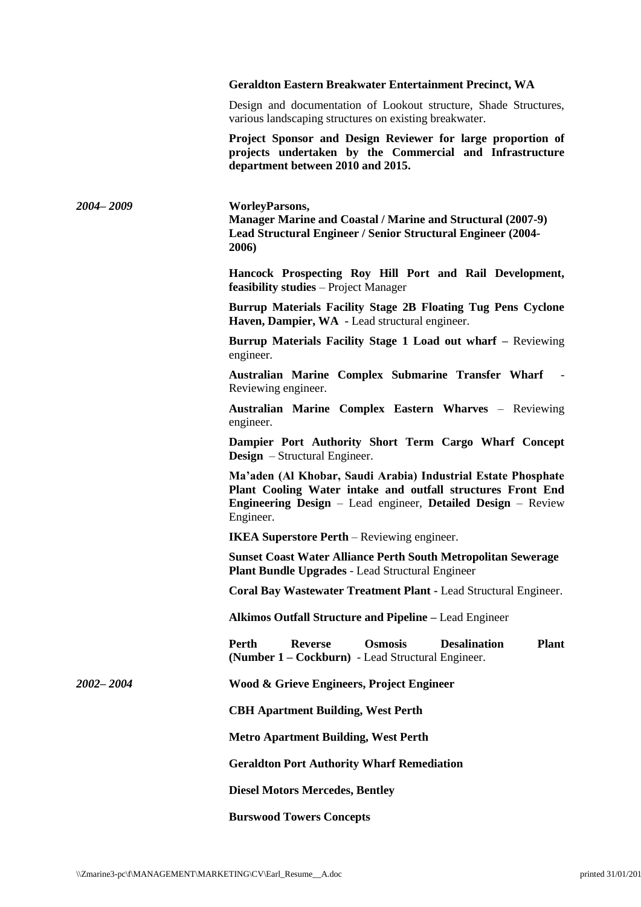## **Geraldton Eastern Breakwater Entertainment Precinct, WA**

Design and documentation of Lookout structure, Shade Structures, various landscaping structures on existing breakwater.

**Project Sponsor and Design Reviewer for large proportion of projects undertaken by the Commercial and Infrastructure department between 2010 and 2015.**

*2004– 2009* **WorleyParsons, Manager Marine and Coastal / Marine and Structural (2007-9) Lead Structural Engineer / Senior Structural Engineer (2004- 2006) Hancock Prospecting Roy Hill Port and Rail Development, feasibility studies** – Project Manager **Burrup Materials Facility Stage 2B Floating Tug Pens Cyclone Haven, Dampier, WA -** Lead structural engineer. **Burrup Materials Facility Stage 1 Load out wharf –** Reviewing engineer. **Australian Marine Complex Submarine Transfer Wharf** - Reviewing engineer. **Australian Marine Complex Eastern Wharves** – Reviewing engineer. **Dampier Port Authority Short Term Cargo Wharf Concept Design** – Structural Engineer. **Ma'aden (Al Khobar, Saudi Arabia) Industrial Estate Phosphate Plant Cooling Water intake and outfall structures Front End Engineering Design** – Lead engineer, **Detailed Design** – Review Engineer. **IKEA Superstore Perth** – Reviewing engineer. **Sunset Coast Water Alliance Perth South Metropolitan Sewerage Plant Bundle Upgrades** - Lead Structural Engineer **Coral Bay Wastewater Treatment Plant -** Lead Structural Engineer. **Alkimos Outfall Structure and Pipeline –** Lead Engineer **Perth Reverse Osmosis Desalination Plant (Number 1 – Cockburn)** - Lead Structural Engineer. *2002– 2004* **Wood & Grieve Engineers, Project Engineer CBH Apartment Building, West Perth Metro Apartment Building, West Perth Geraldton Port Authority Wharf Remediation Diesel Motors Mercedes, Bentley Burswood Towers Concepts**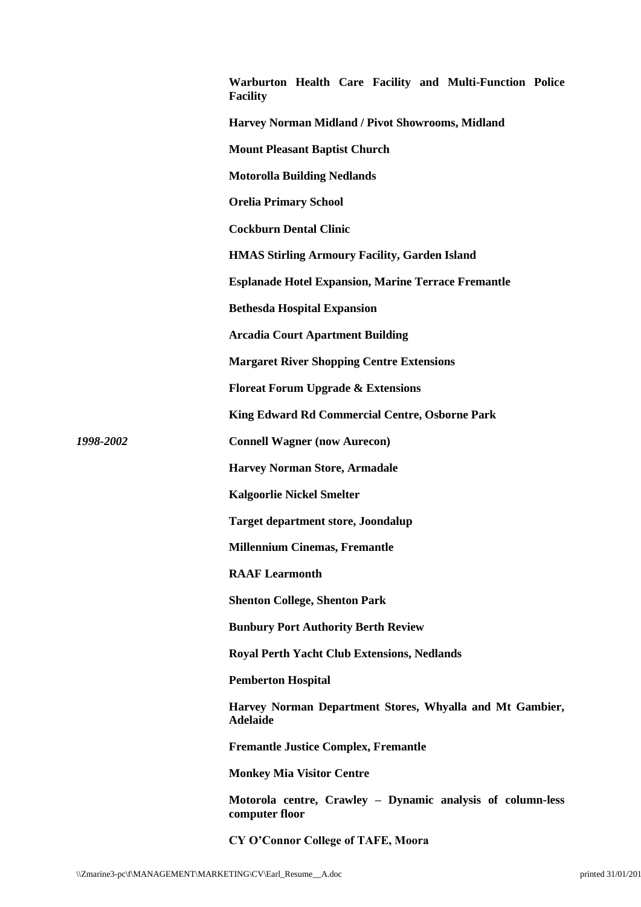|           | Warburton Health Care Facility and Multi-Function Police<br><b>Facility</b>  |
|-----------|------------------------------------------------------------------------------|
|           | Harvey Norman Midland / Pivot Showrooms, Midland                             |
|           | <b>Mount Pleasant Baptist Church</b>                                         |
|           | <b>Motorolla Building Nedlands</b>                                           |
|           | <b>Orelia Primary School</b>                                                 |
|           | <b>Cockburn Dental Clinic</b>                                                |
|           | <b>HMAS Stirling Armoury Facility, Garden Island</b>                         |
|           | <b>Esplanade Hotel Expansion, Marine Terrace Fremantle</b>                   |
|           | <b>Bethesda Hospital Expansion</b>                                           |
|           | <b>Arcadia Court Apartment Building</b>                                      |
|           | <b>Margaret River Shopping Centre Extensions</b>                             |
|           | <b>Floreat Forum Upgrade &amp; Extensions</b>                                |
|           | King Edward Rd Commercial Centre, Osborne Park                               |
| 1998-2002 | <b>Connell Wagner (now Aurecon)</b>                                          |
|           | <b>Harvey Norman Store, Armadale</b>                                         |
|           | <b>Kalgoorlie Nickel Smelter</b>                                             |
|           | <b>Target department store, Joondalup</b>                                    |
|           | <b>Millennium Cinemas, Fremantle</b>                                         |
|           | <b>RAAF Learmonth</b>                                                        |
|           | <b>Shenton College, Shenton Park</b>                                         |
|           | <b>Bunbury Port Authority Berth Review</b>                                   |
|           | <b>Royal Perth Yacht Club Extensions, Nedlands</b>                           |
|           | <b>Pemberton Hospital</b>                                                    |
|           | Harvey Norman Department Stores, Whyalla and Mt Gambier,<br><b>Adelaide</b>  |
|           | <b>Fremantle Justice Complex, Fremantle</b>                                  |
|           | <b>Monkey Mia Visitor Centre</b>                                             |
|           | Motorola centre, Crawley - Dynamic analysis of column-less<br>computer floor |
|           | CY O'Connor College of TAFE, Moora                                           |